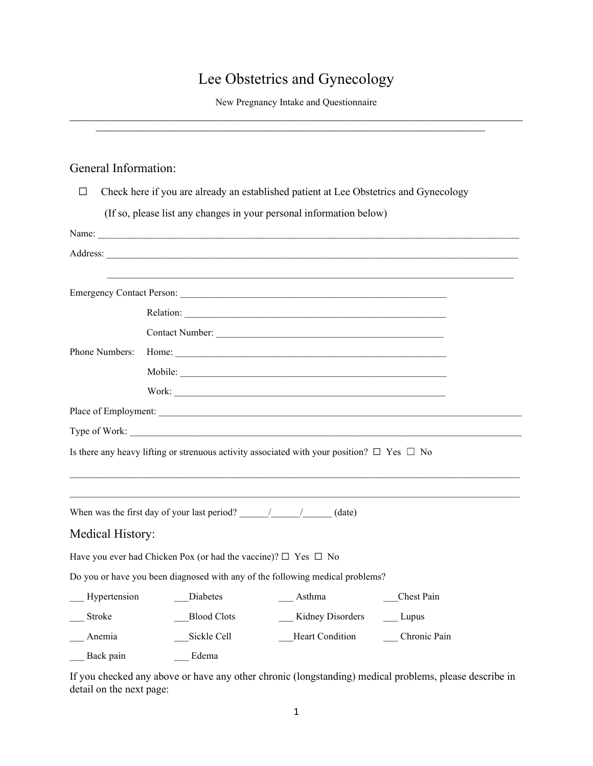# Lee Obstetrics and Gynecology

New Pregnancy Intake and Questionnaire  $\overline{\phantom{a}}$  , and the contract of the contract of the contract of the contract of the contract of the contract of the contract of the contract of the contract of the contract of the contract of the contract of the contrac

### General Information:

| Check here if you are already an established patient at Lee Obstetrics and Gynecology<br>$\Box$ |                                                                                                                                                                                                                                                                                                                                                                                            |  |
|-------------------------------------------------------------------------------------------------|--------------------------------------------------------------------------------------------------------------------------------------------------------------------------------------------------------------------------------------------------------------------------------------------------------------------------------------------------------------------------------------------|--|
|                                                                                                 | (If so, please list any changes in your personal information below)                                                                                                                                                                                                                                                                                                                        |  |
|                                                                                                 |                                                                                                                                                                                                                                                                                                                                                                                            |  |
|                                                                                                 |                                                                                                                                                                                                                                                                                                                                                                                            |  |
|                                                                                                 |                                                                                                                                                                                                                                                                                                                                                                                            |  |
|                                                                                                 |                                                                                                                                                                                                                                                                                                                                                                                            |  |
|                                                                                                 |                                                                                                                                                                                                                                                                                                                                                                                            |  |
|                                                                                                 |                                                                                                                                                                                                                                                                                                                                                                                            |  |
| Phone Numbers:                                                                                  |                                                                                                                                                                                                                                                                                                                                                                                            |  |
|                                                                                                 | Mobile:                                                                                                                                                                                                                                                                                                                                                                                    |  |
|                                                                                                 |                                                                                                                                                                                                                                                                                                                                                                                            |  |
|                                                                                                 |                                                                                                                                                                                                                                                                                                                                                                                            |  |
|                                                                                                 |                                                                                                                                                                                                                                                                                                                                                                                            |  |
|                                                                                                 | Is there any heavy lifting or strenuous activity associated with your position? $\Box$ Yes $\Box$ No                                                                                                                                                                                                                                                                                       |  |
|                                                                                                 |                                                                                                                                                                                                                                                                                                                                                                                            |  |
|                                                                                                 |                                                                                                                                                                                                                                                                                                                                                                                            |  |
|                                                                                                 | When was the first day of your last period? $\frac{1}{\sqrt{1-\frac{1}{\sqrt{1-\frac{1}{\sqrt{1-\frac{1}{\sqrt{1-\frac{1}{\sqrt{1-\frac{1}{\sqrt{1-\frac{1}{\sqrt{1-\frac{1}{\sqrt{1-\frac{1}{\sqrt{1-\frac{1}{\sqrt{1-\frac{1}{\sqrt{1-\frac{1}{\sqrt{1-\frac{1}{\sqrt{1-\frac{1}{\sqrt{1-\frac{1}{\sqrt{1-\frac{1}{\sqrt{1-\frac{1}{\sqrt{1-\frac{1}{\sqrt{1-\frac{1}{\sqrt{1-\frac{1}{$ |  |
| Medical History:                                                                                |                                                                                                                                                                                                                                                                                                                                                                                            |  |
|                                                                                                 | Have you ever had Chicken Pox (or had the vaccine)? $\Box$ Yes $\Box$ No                                                                                                                                                                                                                                                                                                                   |  |
|                                                                                                 | Do you or have you been diagnosed with any of the following medical problems?                                                                                                                                                                                                                                                                                                              |  |
| Hypertension                                                                                    | Chest Pain<br>Diabetes<br>Asthma                                                                                                                                                                                                                                                                                                                                                           |  |
| Stroke                                                                                          | <b>Blood Clots</b><br>Kidney Disorders<br>Lupus                                                                                                                                                                                                                                                                                                                                            |  |
| Anemia                                                                                          | Heart Condition<br>Sickle Cell<br>Chronic Pain                                                                                                                                                                                                                                                                                                                                             |  |
| Back pain                                                                                       | Edema                                                                                                                                                                                                                                                                                                                                                                                      |  |

If you checked any above or have any other chronic (longstanding) medical problems, please describe in detail on the next page: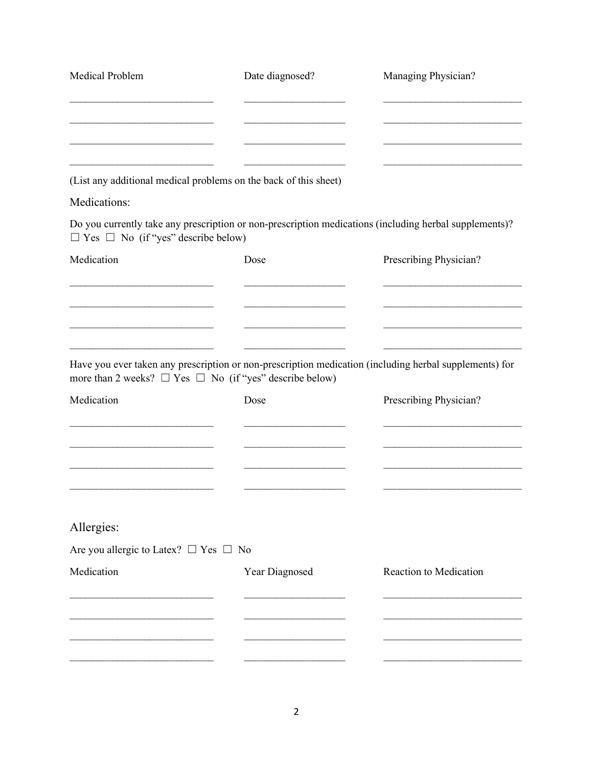| Medical Problem                                       | Date diagnosed?                                                   | Managing Physician?                                                                                    |
|-------------------------------------------------------|-------------------------------------------------------------------|--------------------------------------------------------------------------------------------------------|
|                                                       |                                                                   |                                                                                                        |
|                                                       |                                                                   |                                                                                                        |
|                                                       | (List any additional medical problems on the back of this sheet)  |                                                                                                        |
| Medications:                                          |                                                                   |                                                                                                        |
| $\Box$ Yes $\Box$ No (if "yes" describe below)        |                                                                   | Do you currently take any prescription or non-prescription medications (including herbal supplements)? |
| Medication                                            | Dose                                                              | Prescribing Physician?                                                                                 |
|                                                       |                                                                   |                                                                                                        |
|                                                       |                                                                   |                                                                                                        |
|                                                       | more than 2 weeks? $\Box$ Yes $\Box$ No (if "yes" describe below) | Have you ever taken any prescription or non-prescription medication (including herbal supplements) for |
| Medication                                            | Dose                                                              | Prescribing Physician?                                                                                 |
|                                                       |                                                                   |                                                                                                        |
|                                                       |                                                                   |                                                                                                        |
|                                                       |                                                                   |                                                                                                        |
| Allergies:                                            |                                                                   |                                                                                                        |
| Are you allergic to Latex? $\square$ Yes $\square$ No |                                                                   |                                                                                                        |
| Medication                                            | Year Diagnosed                                                    | Reaction to Medication                                                                                 |
|                                                       |                                                                   |                                                                                                        |
|                                                       |                                                                   |                                                                                                        |
|                                                       |                                                                   |                                                                                                        |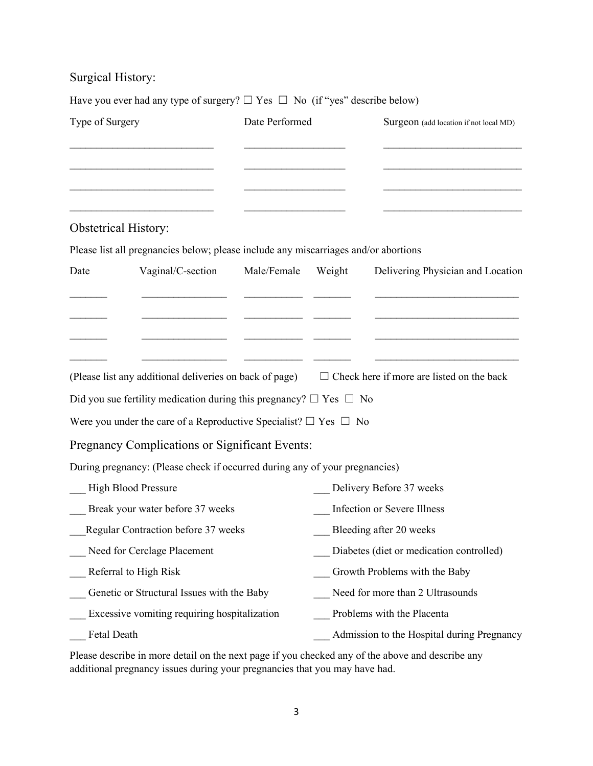## Surgical History:

Have you ever had any type of surgery?  $\Box$  Yes  $\Box$  No (if "yes" describe below)

| Type of Surgery                              |                                                                                     | Date Performed |        | Surgeon (add location if not local MD)                                                                   |
|----------------------------------------------|-------------------------------------------------------------------------------------|----------------|--------|----------------------------------------------------------------------------------------------------------|
|                                              |                                                                                     |                |        |                                                                                                          |
| <b>Obstetrical History:</b>                  |                                                                                     |                |        |                                                                                                          |
|                                              | Please list all pregnancies below; please include any miscarriages and/or abortions |                |        |                                                                                                          |
| Date                                         | Vaginal/C-section                                                                   | Male/Female    | Weight | Delivering Physician and Location                                                                        |
|                                              |                                                                                     |                |        |                                                                                                          |
|                                              |                                                                                     |                |        |                                                                                                          |
|                                              |                                                                                     |                |        | (Please list any additional deliveries on back of page) $\Box$ Check here if more are listed on the back |
|                                              | Did you sue fertility medication during this pregnancy? $\Box$ Yes $\Box$ No        |                |        |                                                                                                          |
|                                              | Were you under the care of a Reproductive Specialist? $\Box$ Yes $\Box$ No          |                |        |                                                                                                          |
|                                              | Pregnancy Complications or Significant Events:                                      |                |        |                                                                                                          |
|                                              | During pregnancy: (Please check if occurred during any of your pregnancies)         |                |        |                                                                                                          |
| <b>High Blood Pressure</b>                   |                                                                                     |                |        | Delivery Before 37 weeks                                                                                 |
| Break your water before 37 weeks             |                                                                                     |                |        | Infection or Severe Illness                                                                              |
| Regular Contraction before 37 weeks          |                                                                                     |                |        | Bleeding after 20 weeks                                                                                  |
| Need for Cerclage Placement                  |                                                                                     |                |        | Diabetes (diet or medication controlled)                                                                 |
| Referral to High Risk                        |                                                                                     |                |        | Growth Problems with the Baby                                                                            |
| Genetic or Structural Issues with the Baby   |                                                                                     |                |        | Need for more than 2 Ultrasounds                                                                         |
| Excessive vomiting requiring hospitalization |                                                                                     |                |        | Problems with the Placenta                                                                               |
| Fetal Death                                  |                                                                                     |                |        | Admission to the Hospital during Pregnancy                                                               |

Please describe in more detail on the next page if you checked any of the above and describe any additional pregnancy issues during your pregnancies that you may have had.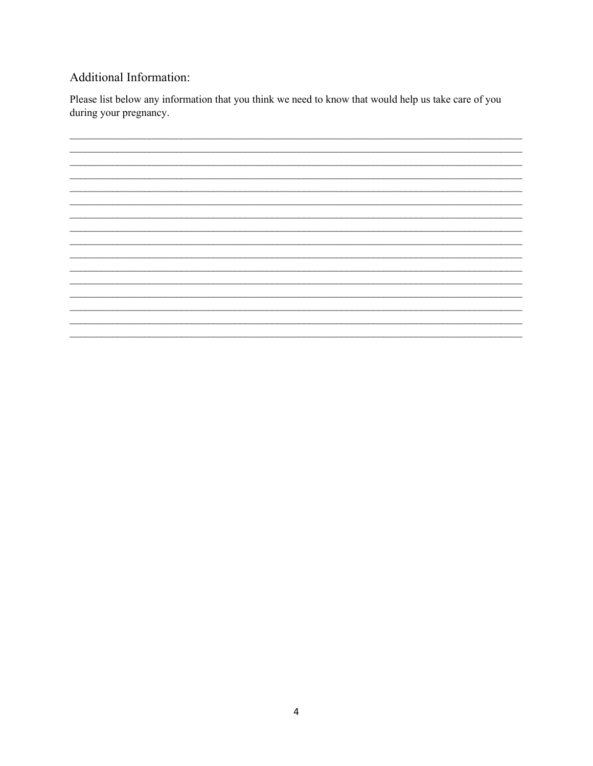### Additional Information:

Please list below any information that you think we need to know that would help us take care of you during your pregnancy.

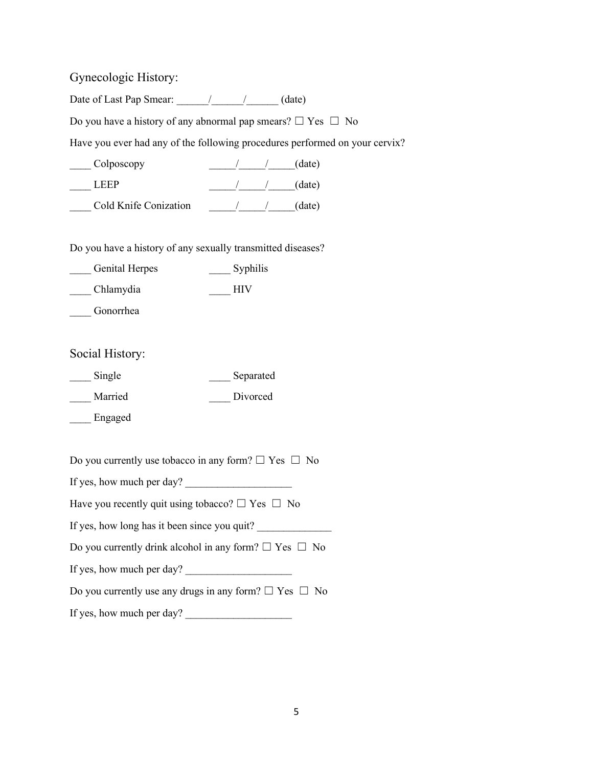Gynecologic History:

Date of Last Pap Smear:  $\frac{1}{2}$   $\frac{1}{2}$  (date)

Do you have a history of any abnormal pap smears?  $\Box$  Yes  $\Box$  No

Have you ever had any of the following procedures performed on your cervix?

| Colposcopy            | (date) |
|-----------------------|--------|
| LEEP                  | (date) |
| Cold Knife Conization | (date) |

Do you have a history of any sexually transmitted diseases?

| <b>Genital Herpes</b> | Syphilis   |
|-----------------------|------------|
| Chlamydia             | <b>HIV</b> |

\_\_\_\_ Gonorrhea

Social History:

| Single  | Separated |
|---------|-----------|
| Married | Divorced  |

\_\_\_\_ Engaged

Do you currently use tobacco in any form?  $\Box$  Yes  $\Box$  No

If yes, how much per day? \_\_\_\_\_\_\_\_\_\_\_\_\_\_\_\_\_\_\_\_

Have you recently quit using tobacco?  $\Box$  Yes  $\Box$  No

If yes, how long has it been since you quit?

Do you currently drink alcohol in any form?  $\Box$  Yes  $\Box$  No

If yes, how much per day? \_\_\_\_\_\_\_\_\_\_\_\_\_\_\_\_\_\_\_\_

Do you currently use any drugs in any form?  $\Box$  Yes  $\Box$  No

If yes, how much per day? \_\_\_\_\_\_\_\_\_\_\_\_\_\_\_\_\_\_\_\_